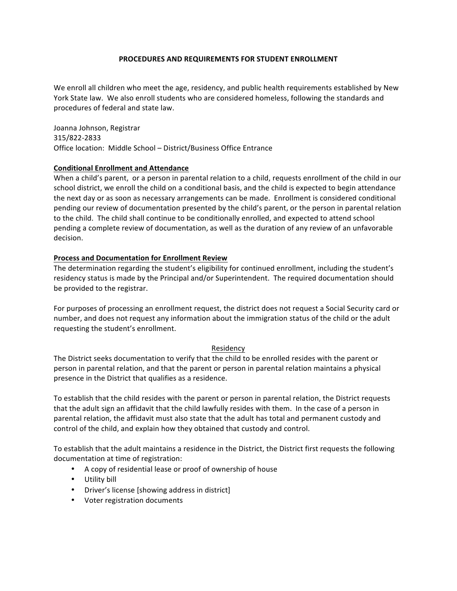## **PROCEDURES AND REQUIREMENTS FOR STUDENT ENROLLMENT**

We enroll all children who meet the age, residency, and public health requirements established by New York State law. We also enroll students who are considered homeless, following the standards and procedures of federal and state law.

Joanna Johnson, Registrar 315/822-2833 Office location: Middle School - District/Business Office Entrance

## **Conditional Enrollment and Attendance**

When a child's parent, or a person in parental relation to a child, requests enrollment of the child in our school district, we enroll the child on a conditional basis, and the child is expected to begin attendance the next day or as soon as necessary arrangements can be made. Enrollment is considered conditional pending our review of documentation presented by the child's parent, or the person in parental relation to the child. The child shall continue to be conditionally enrolled, and expected to attend school pending a complete review of documentation, as well as the duration of any review of an unfavorable decision.

## **Process and Documentation for Enrollment Review**

The determination regarding the student's eligibility for continued enrollment, including the student's residency status is made by the Principal and/or Superintendent. The required documentation should be provided to the registrar.

For purposes of processing an enrollment request, the district does not request a Social Security card or number, and does not request any information about the immigration status of the child or the adult requesting the student's enrollment.

# Residency

The District seeks documentation to verify that the child to be enrolled resides with the parent or person in parental relation, and that the parent or person in parental relation maintains a physical presence in the District that qualifies as a residence.

To establish that the child resides with the parent or person in parental relation, the District requests that the adult sign an affidavit that the child lawfully resides with them. In the case of a person in parental relation, the affidavit must also state that the adult has total and permanent custody and control of the child, and explain how they obtained that custody and control.

To establish that the adult maintains a residence in the District, the District first requests the following documentation at time of registration:

- A copy of residential lease or proof of ownership of house
- Utility bill
- Driver's license [showing address in district]
- Voter registration documents